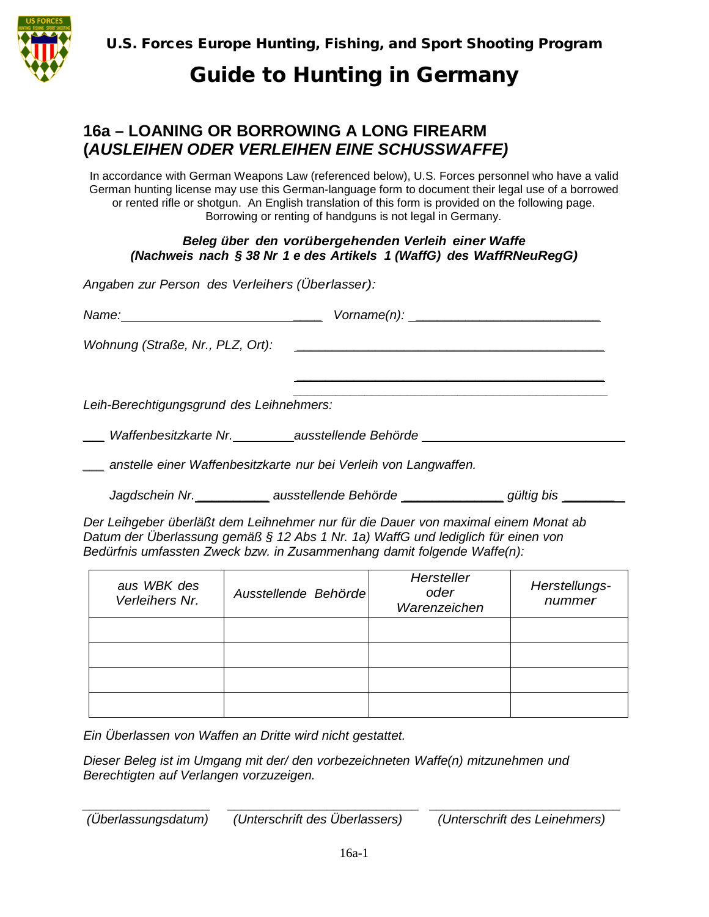

U.S. Forces Europe Hunting, Fishing, and Sport Shooting Program

# Guide to Hunting in Germany

### **16a – LOANING OR BORROWING A LONG FIREARM (***AUSLEIHEN ODER VERLEIHEN EINE SCHUSSWAFFE)*

In accordance with German Weapons Law (referenced below), U.S. Forces personnel who have a valid German hunting license may use this German-language form to document their legal use of a borrowed or rented rifle or shotgun. An English translation of this form is provided on the following page. Borrowing or renting of handguns is not legal in Germany.

#### *Beleg über den vorübergehenden Verleih einer Waffe (Nachweis nach § 38 Nr 1 e des Artikels 1 (WaffG) des WaffRNeuRegG)*

*Angaben zur Person des Verleihers (Überlasser):*

|                                                                                  | Vorname(n):                                                                                                            |  |  |  |
|----------------------------------------------------------------------------------|------------------------------------------------------------------------------------------------------------------------|--|--|--|
| Wohnung (Straße, Nr., PLZ, Ort):                                                 | <u> 1989 - Jan Stern Harry Harry Harry Harry Harry Harry Harry Harry Harry Harry Harry Harry Harry Harry Harry Har</u> |  |  |  |
|                                                                                  |                                                                                                                        |  |  |  |
| Leih-Berechtigungsgrund des Leihnehmers:                                         |                                                                                                                        |  |  |  |
| ____ Waffenbesitzkarte Nr._________ausstellende Behörde ________________________ |                                                                                                                        |  |  |  |
| anstelle einer Waffenbesitzkarte nur bei Verleih von Langwaffen.                 |                                                                                                                        |  |  |  |
|                                                                                  | Jagdschein Nr. _____________ ausstellende Behörde _______________gültig bis _________                                  |  |  |  |

*Der Leihgeber überläßt dem Leihnehmer nur für die Dauer von maximal einem Monat ab Datum der Überlassung gemäß § 12 Abs 1 Nr. 1a) WaffG und lediglich für einen von Bedürfnis umfassten Zweck bzw. in Zusammenhang damit folgende Waffe(n):*

| aus WBK des<br>Verleihers Nr. | Ausstellende Behörde | Hersteller<br>oder<br>Warenzeichen | Herstellungs-<br>nummer |
|-------------------------------|----------------------|------------------------------------|-------------------------|
|                               |                      |                                    |                         |
|                               |                      |                                    |                         |
|                               |                      |                                    |                         |
|                               |                      |                                    |                         |

*Ein Überlassen von Waffen an Dritte wird nicht gestattet.*

*Dieser Beleg ist im Umgang mit der/ den vorbezeichneten Waffe(n) mitzunehmen und Berechtigten auf Verlangen vorzuzeigen.*

*\_\_\_\_\_\_\_\_\_\_\_\_\_\_\_\_\_\_ \_\_\_\_\_\_\_\_\_\_\_\_\_\_\_\_\_\_\_\_\_\_\_\_\_\_\_ \_\_\_\_\_\_\_\_\_\_\_\_\_\_\_\_\_\_\_\_\_\_\_\_\_\_\_ (Überlassungsdatum) (Unterschrift des Überlassers) (Unterschrift des Leinehmers)*